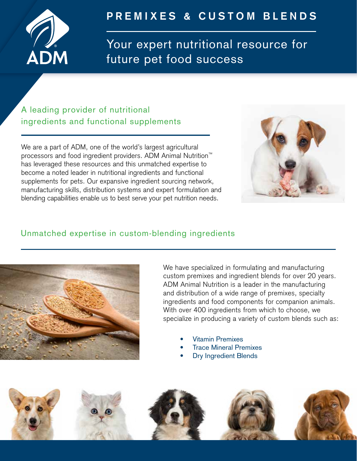

# **PREMIXES & CUSTOM BLENDS**

Your expert nutritional resource for future pet food success

### A leading provider of nutritional ingredients and functional supplements

We are a part of ADM, one of the world's largest agricultural processors and food ingredient providers. ADM Animal Nutrition™ has leveraged these resources and this unmatched expertise to become a noted leader in nutritional ingredients and functional supplements for pets. Our expansive ingredient sourcing network, manufacturing skills, distribution systems and expert formulation and blending capabilities enable us to best serve your pet nutrition needs.



#### Unmatched expertise in custom-blending ingredients



We have specialized in formulating and manufacturing custom premixes and ingredient blends for over 20 years. ADM Animal Nutrition is a leader in the manufacturing and distribution of a wide range of premixes, specialty ingredients and food components for companion animals. With over 400 ingredients from which to choose, we specialize in producing a variety of custom blends such as:

- Vitamin Premixes
- **Trace Mineral Premixes**
- **Dry Ingredient Blends**